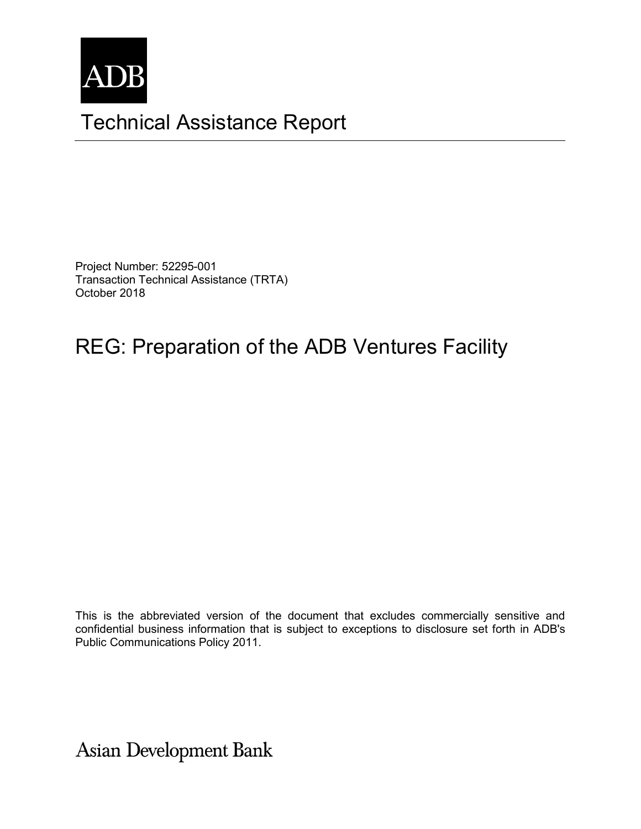

# Technical Assistance Report

Project Number: 52295-001 Transaction Technical Assistance (TRTA) October 2018

# REG: Preparation of the ADB Ventures Facility

This is the abbreviated version of the document that excludes commercially sensitive and confidential business information that is subject to exceptions to disclosure set forth in ADB's Public Communications Policy 2011.

**Asian Development Bank**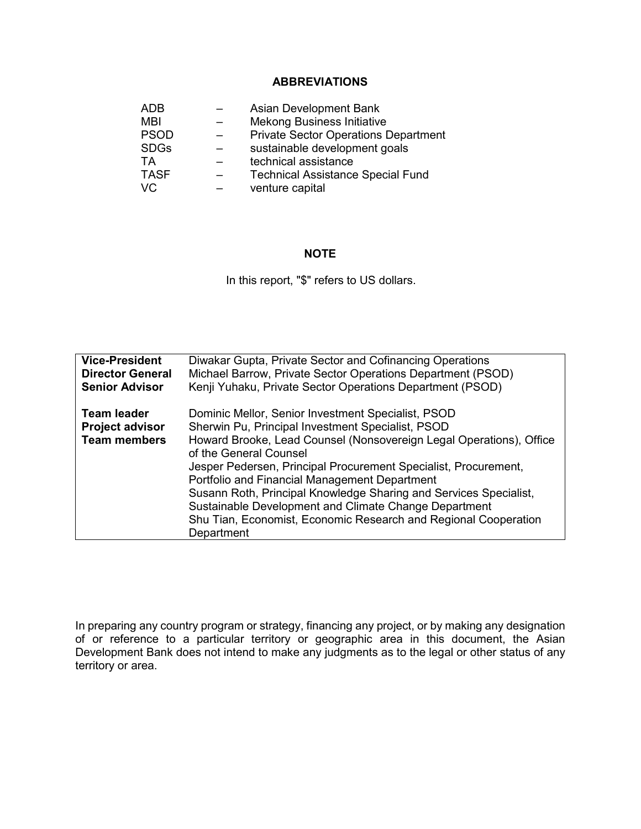#### **ABBREVIATIONS**

| ADB         | Asian Development Bank                      |
|-------------|---------------------------------------------|
| <b>MBI</b>  | <b>Mekong Business Initiative</b>           |
| <b>PSOD</b> | <b>Private Sector Operations Department</b> |
| <b>SDGs</b> | sustainable development goals               |
| TA          | technical assistance                        |
| <b>TASF</b> | <b>Technical Assistance Special Fund</b>    |
| VC          | venture capital                             |

#### **NOTE**

In this report, "\$" refers to US dollars.

| <b>Vice-President</b>                                               | Diwakar Gupta, Private Sector and Cofinancing Operations                                                                                                                                                                                                                                                                                                                                                                                                                                                                                    |
|---------------------------------------------------------------------|---------------------------------------------------------------------------------------------------------------------------------------------------------------------------------------------------------------------------------------------------------------------------------------------------------------------------------------------------------------------------------------------------------------------------------------------------------------------------------------------------------------------------------------------|
| <b>Director General</b>                                             | Michael Barrow, Private Sector Operations Department (PSOD)                                                                                                                                                                                                                                                                                                                                                                                                                                                                                 |
| <b>Senior Advisor</b>                                               | Kenji Yuhaku, Private Sector Operations Department (PSOD)                                                                                                                                                                                                                                                                                                                                                                                                                                                                                   |
| <b>Team leader</b><br><b>Project advisor</b><br><b>Team members</b> | Dominic Mellor, Senior Investment Specialist, PSOD<br>Sherwin Pu, Principal Investment Specialist, PSOD<br>Howard Brooke, Lead Counsel (Nonsovereign Legal Operations), Office<br>of the General Counsel<br>Jesper Pedersen, Principal Procurement Specialist, Procurement,<br>Portfolio and Financial Management Department<br>Susann Roth, Principal Knowledge Sharing and Services Specialist,<br>Sustainable Development and Climate Change Department<br>Shu Tian, Economist, Economic Research and Regional Cooperation<br>Department |

In preparing any country program or strategy, financing any project, or by making any designation of or reference to a particular territory or geographic area in this document, the Asian Development Bank does not intend to make any judgments as to the legal or other status of any territory or area.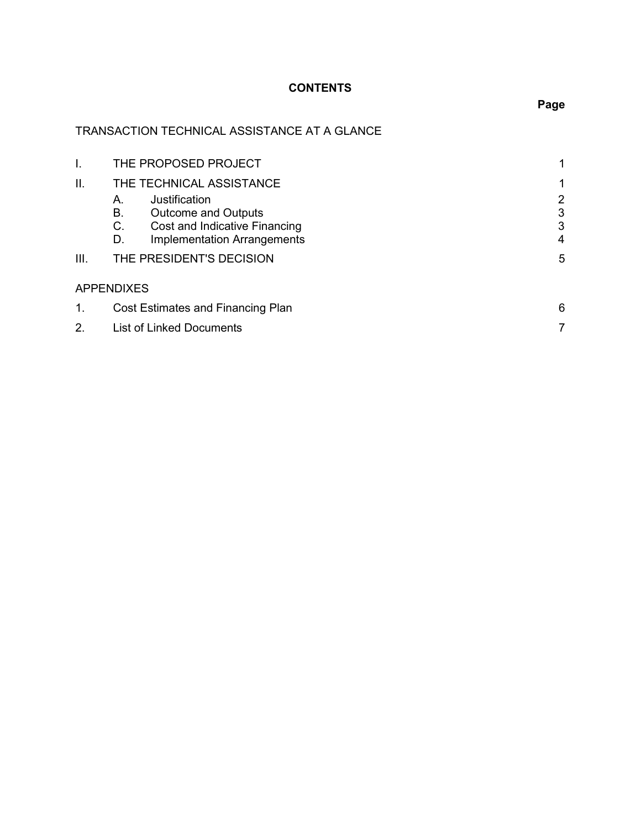# **CONTENTS**

# TRANSACTION TECHNICAL ASSISTANCE AT A GLANCE

|      | THE PROPOSED PROJECT                     |   |
|------|------------------------------------------|---|
| Н.   | THE TECHNICAL ASSISTANCE                 |   |
|      | Justification<br>А.                      | 2 |
|      | В.<br><b>Outcome and Outputs</b>         | 3 |
|      | C.<br>Cost and Indicative Financing      | 3 |
|      | <b>Implementation Arrangements</b><br>D. | 4 |
| III. | THE PRESIDENT'S DECISION                 | 5 |
|      | <b>APPENDIXES</b>                        |   |
| 1.   | Cost Estimates and Financing Plan        | 6 |
| 2.   | List of Linked Documents                 |   |

**Page**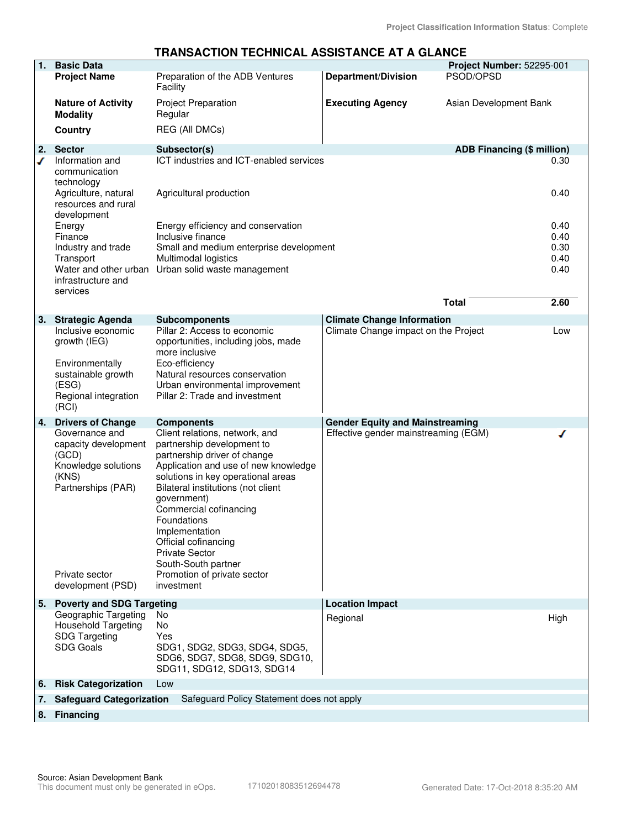#### **TRANSACTION TECHNICAL ASSISTANCE AT A GLANCE**

|    |                                                                                                                         |                                                                                                                                                                                                                                                                                                                                                                                                   | —————————                              |                                   |              |
|----|-------------------------------------------------------------------------------------------------------------------------|---------------------------------------------------------------------------------------------------------------------------------------------------------------------------------------------------------------------------------------------------------------------------------------------------------------------------------------------------------------------------------------------------|----------------------------------------|-----------------------------------|--------------|
| 1. | <b>Basic Data</b>                                                                                                       |                                                                                                                                                                                                                                                                                                                                                                                                   |                                        | Project Number: 52295-001         |              |
|    | <b>Project Name</b>                                                                                                     | Preparation of the ADB Ventures<br>Facility                                                                                                                                                                                                                                                                                                                                                       | <b>Department/Division</b>             | PSOD/OPSD                         |              |
|    | <b>Nature of Activity</b><br><b>Modality</b>                                                                            | <b>Project Preparation</b><br>Regular                                                                                                                                                                                                                                                                                                                                                             | <b>Executing Agency</b>                | Asian Development Bank            |              |
|    | <b>Country</b>                                                                                                          | <b>REG (All DMCs)</b>                                                                                                                                                                                                                                                                                                                                                                             |                                        |                                   |              |
| 2. | <b>Sector</b>                                                                                                           | Subsector(s)                                                                                                                                                                                                                                                                                                                                                                                      |                                        | <b>ADB Financing (\$ million)</b> |              |
| ℐ  | Information and<br>communication<br>technology<br>Agriculture, natural                                                  | ICT industries and ICT-enabled services<br>Agricultural production                                                                                                                                                                                                                                                                                                                                |                                        |                                   | 0.30<br>0.40 |
|    | resources and rural<br>development                                                                                      |                                                                                                                                                                                                                                                                                                                                                                                                   |                                        |                                   |              |
|    | Energy<br>Finance                                                                                                       | Energy efficiency and conservation<br>Inclusive finance                                                                                                                                                                                                                                                                                                                                           |                                        |                                   | 0.40<br>0.40 |
|    | Industry and trade                                                                                                      | Small and medium enterprise development                                                                                                                                                                                                                                                                                                                                                           |                                        |                                   | 0.30         |
|    | Transport                                                                                                               | Multimodal logistics                                                                                                                                                                                                                                                                                                                                                                              |                                        |                                   | 0.40         |
|    | Water and other urban                                                                                                   | Urban solid waste management                                                                                                                                                                                                                                                                                                                                                                      |                                        |                                   | 0.40         |
|    | infrastructure and<br>services                                                                                          |                                                                                                                                                                                                                                                                                                                                                                                                   |                                        |                                   |              |
|    |                                                                                                                         |                                                                                                                                                                                                                                                                                                                                                                                                   |                                        | <b>Total</b>                      | 2.60         |
| 3. | <b>Strategic Agenda</b>                                                                                                 | <b>Subcomponents</b>                                                                                                                                                                                                                                                                                                                                                                              | <b>Climate Change Information</b>      |                                   |              |
|    | Inclusive economic                                                                                                      | Pillar 2: Access to economic                                                                                                                                                                                                                                                                                                                                                                      | Climate Change impact on the Project   |                                   | Low          |
|    | growth (IEG)                                                                                                            | opportunities, including jobs, made<br>more inclusive                                                                                                                                                                                                                                                                                                                                             |                                        |                                   |              |
|    | Environmentally<br>sustainable growth                                                                                   | Eco-efficiency<br>Natural resources conservation                                                                                                                                                                                                                                                                                                                                                  |                                        |                                   |              |
|    | (ESG)                                                                                                                   | Urban environmental improvement                                                                                                                                                                                                                                                                                                                                                                   |                                        |                                   |              |
|    | Regional integration<br>(RCI)                                                                                           | Pillar 2: Trade and investment                                                                                                                                                                                                                                                                                                                                                                    |                                        |                                   |              |
| 4. | <b>Drivers of Change</b>                                                                                                | <b>Components</b>                                                                                                                                                                                                                                                                                                                                                                                 | <b>Gender Equity and Mainstreaming</b> |                                   |              |
|    | Governance and<br>capacity development<br>(GCD)<br>Knowledge solutions<br>(KNS)<br>Partnerships (PAR)<br>Private sector | Client relations, network, and<br>partnership development to<br>partnership driver of change<br>Application and use of new knowledge<br>solutions in key operational areas<br>Bilateral institutions (not client<br>government)<br>Commercial cofinancing<br>Foundations<br>Implementation<br>Official cofinancing<br><b>Private Sector</b><br>South-South partner<br>Promotion of private sector | Effective gender mainstreaming (EGM)   |                                   |              |
|    | development (PSD)                                                                                                       | investment                                                                                                                                                                                                                                                                                                                                                                                        |                                        |                                   |              |
| 5. | <b>Poverty and SDG Targeting</b><br>Geographic Targeting                                                                | No                                                                                                                                                                                                                                                                                                                                                                                                | <b>Location Impact</b>                 |                                   |              |
|    | <b>Household Targeting</b>                                                                                              | No                                                                                                                                                                                                                                                                                                                                                                                                | Regional                               |                                   | High         |
|    | <b>SDG Targeting</b>                                                                                                    | Yes                                                                                                                                                                                                                                                                                                                                                                                               |                                        |                                   |              |
|    | <b>SDG Goals</b>                                                                                                        | SDG1, SDG2, SDG3, SDG4, SDG5,<br>SDG6, SDG7, SDG8, SDG9, SDG10,<br>SDG11, SDG12, SDG13, SDG14                                                                                                                                                                                                                                                                                                     |                                        |                                   |              |
| 6. | <b>Risk Categorization</b>                                                                                              | Low                                                                                                                                                                                                                                                                                                                                                                                               |                                        |                                   |              |
| 7. | <b>Safeguard Categorization</b>                                                                                         | Safeguard Policy Statement does not apply                                                                                                                                                                                                                                                                                                                                                         |                                        |                                   |              |
| 8. | <b>Financing</b>                                                                                                        |                                                                                                                                                                                                                                                                                                                                                                                                   |                                        |                                   |              |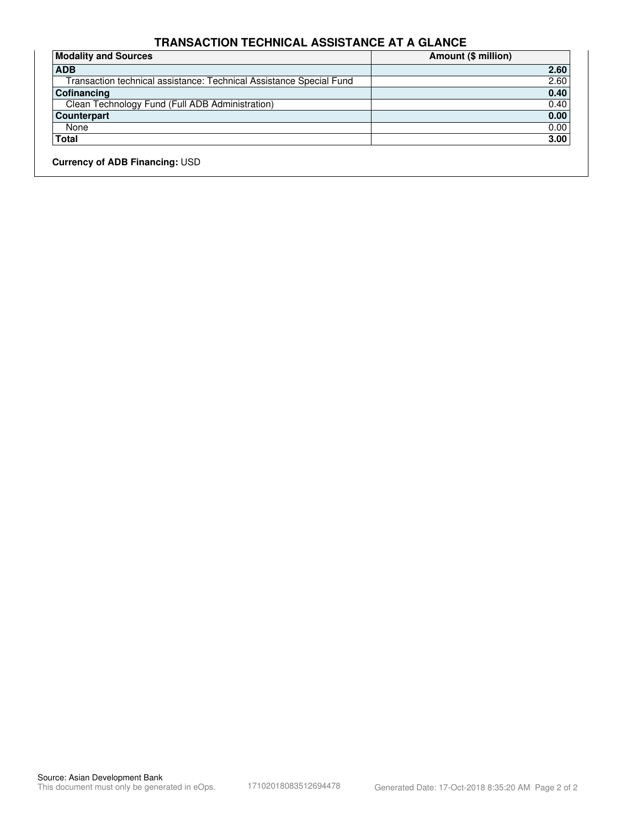## **TRANSACTION TECHNICAL ASSISTANCE AT A GLANCE**

| 2.60 |
|------|
|      |
| 2.60 |
| 0.40 |
| 0.40 |
| 0.00 |
| 0.00 |
| 3.00 |
|      |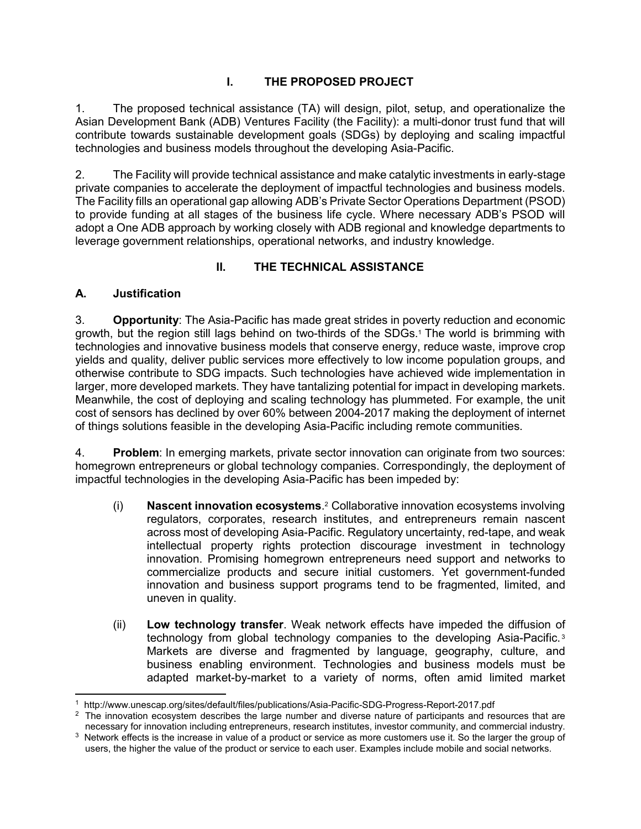# **I. THE PROPOSED PROJECT**

1. The proposed technical assistance (TA) will design, pilot, setup, and operationalize the Asian Development Bank (ADB) Ventures Facility (the Facility): a multi-donor trust fund that will contribute towards sustainable development goals (SDGs) by deploying and scaling impactful technologies and business models throughout the developing Asia-Pacific.

2. The Facility will provide technical assistance and make catalytic investments in early-stage private companies to accelerate the deployment of impactful technologies and business models. The Facility fills an operational gap allowing ADB's Private Sector Operations Department (PSOD) to provide funding at all stages of the business life cycle. Where necessary ADB's PSOD will adopt a One ADB approach by working closely with ADB regional and knowledge departments to leverage government relationships, operational networks, and industry knowledge.

# **II. THE TECHNICAL ASSISTANCE**

## **A. Justification**

3. **Opportunity**: The Asia-Pacific has made great strides in poverty reduction and economic growth, but the region still lags behind on two-thirds of the SDGs.<sup>1</sup> The world is brimming with technologies and innovative business models that conserve energy, reduce waste, improve crop yields and quality, deliver public services more effectively to low income population groups, and otherwise contribute to SDG impacts. Such technologies have achieved wide implementation in larger, more developed markets. They have tantalizing potential for impact in developing markets. Meanwhile, the cost of deploying and scaling technology has plummeted. For example, the unit cost of sensors has declined by over 60% between 2004-2017 making the deployment of internet of things solutions feasible in the developing Asia-Pacific including remote communities.

4. **Problem**: In emerging markets, private sector innovation can originate from two sources: homegrown entrepreneurs or global technology companies. Correspondingly, the deployment of impactful technologies in the developing Asia-Pacific has been impeded by:

- (i) **Nascent innovation ecosystems**. 2 Collaborative innovation ecosystems involving regulators, corporates, research institutes, and entrepreneurs remain nascent across most of developing Asia-Pacific. Regulatory uncertainty, red-tape, and weak intellectual property rights protection discourage investment in technology innovation. Promising homegrown entrepreneurs need support and networks to commercialize products and secure initial customers. Yet government-funded innovation and business support programs tend to be fragmented, limited, and uneven in quality.
- (ii) **Low technology transfer**. Weak network effects have impeded the diffusion of technology from global technology companies to the developing Asia-Pacific. <sup>3</sup> Markets are diverse and fragmented by language, geography, culture, and business enabling environment. Technologies and business models must be adapted market-by-market to a variety of norms, often amid limited market

 $\overline{a}$ 1 http://www.unescap.org/sites/default/files/publications/Asia-Pacific-SDG-Progress-Report-2017.pdf

 $2$  The innovation ecosystem describes the large number and diverse nature of participants and resources that are necessary for innovation including entrepreneurs, research institutes, investor community, and commercial industry. <sup>3</sup> Network effects is the increase in value of a product or service as more customers use it. So the larger the group of

users, the higher the value of the product or service to each user. Examples include mobile and social networks.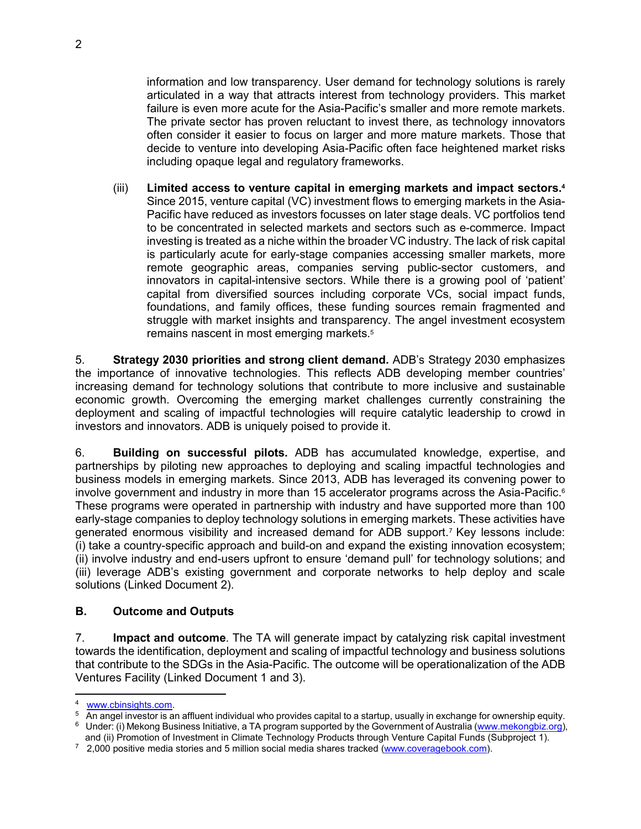information and low transparency. User demand for technology solutions is rarely articulated in a way that attracts interest from technology providers. This market failure is even more acute for the Asia-Pacific's smaller and more remote markets. The private sector has proven reluctant to invest there, as technology innovators often consider it easier to focus on larger and more mature markets. Those that decide to venture into developing Asia-Pacific often face heightened market risks including opaque legal and regulatory frameworks.

(iii) **Limited access to venture capital in emerging markets and impact sectors.<sup>4</sup>** Since 2015, venture capital (VC) investment flows to emerging markets in the Asia-Pacific have reduced as investors focusses on later stage deals. VC portfolios tend to be concentrated in selected markets and sectors such as e-commerce. Impact investing is treated as a niche within the broader VC industry. The lack of risk capital is particularly acute for early-stage companies accessing smaller markets, more remote geographic areas, companies serving public-sector customers, and innovators in capital-intensive sectors. While there is a growing pool of 'patient' capital from diversified sources including corporate VCs, social impact funds, foundations, and family offices, these funding sources remain fragmented and struggle with market insights and transparency. The angel investment ecosystem remains nascent in most emerging markets.<sup>5</sup>

5. **Strategy 2030 priorities and strong client demand.** ADB's Strategy 2030 emphasizes the importance of innovative technologies. This reflects ADB developing member countries' increasing demand for technology solutions that contribute to more inclusive and sustainable economic growth. Overcoming the emerging market challenges currently constraining the deployment and scaling of impactful technologies will require catalytic leadership to crowd in investors and innovators. ADB is uniquely poised to provide it.

6. **Building on successful pilots.** ADB has accumulated knowledge, expertise, and partnerships by piloting new approaches to deploying and scaling impactful technologies and business models in emerging markets. Since 2013, ADB has leveraged its convening power to involve government and industry in more than 15 accelerator programs across the Asia-Pacific.<sup>6</sup> These programs were operated in partnership with industry and have supported more than 100 early-stage companies to deploy technology solutions in emerging markets. These activities have generated enormous visibility and increased demand for ADB support.<sup>7</sup> Key lessons include: (i) take a country-specific approach and build-on and expand the existing innovation ecosystem; (ii) involve industry and end-users upfront to ensure 'demand pull' for technology solutions; and (iii) leverage ADB's existing government and corporate networks to help deploy and scale solutions (Linked Document 2).

## **B. Outcome and Outputs**

7. **Impact and outcome**. The TA will generate impact by catalyzing risk capital investment towards the identification, deployment and scaling of impactful technology and business solutions that contribute to the SDGs in the Asia-Pacific. The outcome will be operationalization of the ADB Ventures Facility (Linked Document 1 and 3).

<sup>-</sup><sup>4</sup> www.cbinsights.com.

 $^5$  An angel investor is an affluent individual who provides capital to a startup, usually in exchange for ownership equity. <sup>6</sup> Under: (i) Mekong Business Initiative, a TA program supported by the Government of Australia (www.mekongbiz.org),

and (ii) Promotion of Investment in Climate Technology Products through Venture Capital Funds (Subproject 1).

<sup>&</sup>lt;sup>7</sup> 2,000 positive media stories and 5 million social media shares tracked (www.coveragebook.com).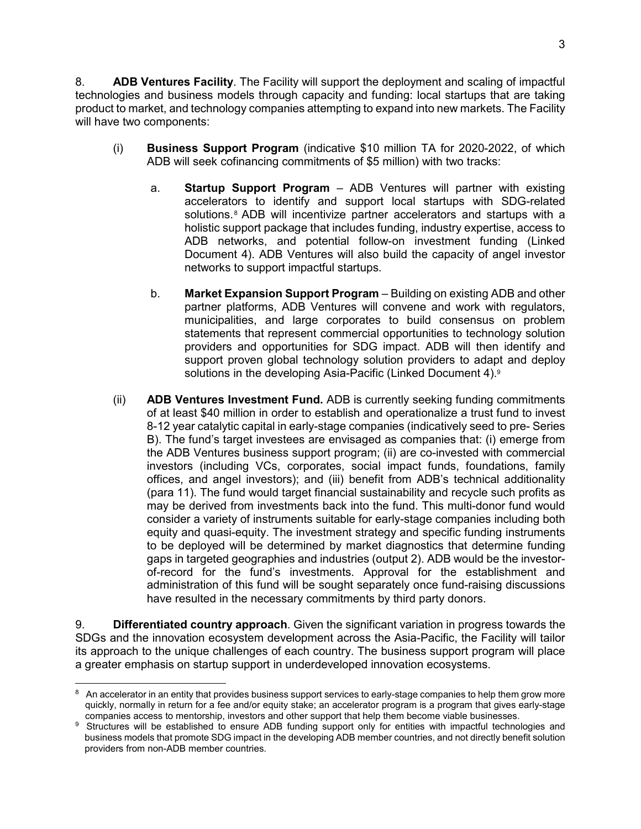8. **ADB Ventures Facility**. The Facility will support the deployment and scaling of impactful technologies and business models through capacity and funding: local startups that are taking product to market, and technology companies attempting to expand into new markets. The Facility will have two components:

- (i) **Business Support Program** (indicative \$10 million TA for 2020-2022, of which ADB will seek cofinancing commitments of \$5 million) with two tracks:
	- a. **Startup Support Program** ADB Ventures will partner with existing accelerators to identify and support local startups with SDG-related solutions.<sup>8</sup> ADB will incentivize partner accelerators and startups with a holistic support package that includes funding, industry expertise, access to ADB networks, and potential follow-on investment funding (Linked Document 4). ADB Ventures will also build the capacity of angel investor networks to support impactful startups.
	- b. **Market Expansion Support Program** Building on existing ADB and other partner platforms, ADB Ventures will convene and work with regulators, municipalities, and large corporates to build consensus on problem statements that represent commercial opportunities to technology solution providers and opportunities for SDG impact. ADB will then identify and support proven global technology solution providers to adapt and deploy solutions in the developing Asia-Pacific (Linked Document 4).<sup>9</sup>
- (ii) **ADB Ventures Investment Fund.** ADB is currently seeking funding commitments of at least \$40 million in order to establish and operationalize a trust fund to invest 8-12 year catalytic capital in early-stage companies (indicatively seed to pre- Series B). The fund's target investees are envisaged as companies that: (i) emerge from the ADB Ventures business support program; (ii) are co-invested with commercial investors (including VCs, corporates, social impact funds, foundations, family offices, and angel investors); and (iii) benefit from ADB's technical additionality (para 11). The fund would target financial sustainability and recycle such profits as may be derived from investments back into the fund. This multi-donor fund would consider a variety of instruments suitable for early-stage companies including both equity and quasi-equity. The investment strategy and specific funding instruments to be deployed will be determined by market diagnostics that determine funding gaps in targeted geographies and industries (output 2). ADB would be the investorof-record for the fund's investments. Approval for the establishment and administration of this fund will be sought separately once fund-raising discussions have resulted in the necessary commitments by third party donors.

9. **Differentiated country approach**. Given the significant variation in progress towards the SDGs and the innovation ecosystem development across the Asia-Pacific, the Facility will tailor its approach to the unique challenges of each country. The business support program will place a greater emphasis on startup support in underdeveloped innovation ecosystems.

<sup>-</sup> $8$  An accelerator in an entity that provides business support services to early-stage companies to help them grow more quickly, normally in return for a fee and/or equity stake; an accelerator program is a program that gives early-stage companies access to mentorship, investors and other support that help them become viable businesses.

<sup>&</sup>lt;sup>9</sup> Structures will be established to ensure ADB funding support only for entities with impactful technologies and business models that promote SDG impact in the developing ADB member countries, and not directly benefit solution providers from non-ADB member countries.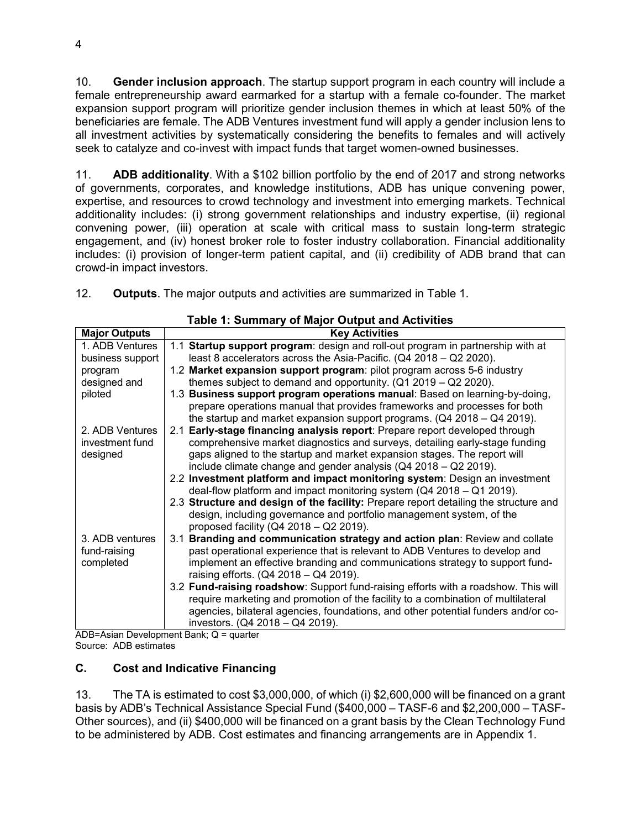10. **Gender inclusion approach**. The startup support program in each country will include a female entrepreneurship award earmarked for a startup with a female co-founder. The market expansion support program will prioritize gender inclusion themes in which at least 50% of the beneficiaries are female. The ADB Ventures investment fund will apply a gender inclusion lens to all investment activities by systematically considering the benefits to females and will actively seek to catalyze and co-invest with impact funds that target women-owned businesses.

11. **ADB additionality**. With a \$102 billion portfolio by the end of 2017 and strong networks of governments, corporates, and knowledge institutions, ADB has unique convening power, expertise, and resources to crowd technology and investment into emerging markets. Technical additionality includes: (i) strong government relationships and industry expertise, (ii) regional convening power, (iii) operation at scale with critical mass to sustain long-term strategic engagement, and (iv) honest broker role to foster industry collaboration. Financial additionality includes: (i) provision of longer-term patient capital, and (ii) credibility of ADB brand that can crowd-in impact investors.

12. **Outputs**. The major outputs and activities are summarized in Table 1.

| rable 1. Summary or major Output and Activities |                                                                                      |  |  |
|-------------------------------------------------|--------------------------------------------------------------------------------------|--|--|
| <b>Major Outputs</b>                            | <b>Key Activities</b>                                                                |  |  |
| 1. ADB Ventures                                 | 1.1 Startup support program: design and roll-out program in partnership with at      |  |  |
| business support                                | least 8 accelerators across the Asia-Pacific. (Q4 2018 - Q2 2020).                   |  |  |
| program                                         | 1.2 Market expansion support program: pilot program across 5-6 industry              |  |  |
| designed and                                    | themes subject to demand and opportunity. $(Q1 2019 - Q2 2020)$ .                    |  |  |
| piloted                                         | 1.3 Business support program operations manual: Based on learning-by-doing,          |  |  |
|                                                 | prepare operations manual that provides frameworks and processes for both            |  |  |
|                                                 | the startup and market expansion support programs. $(Q4 2018 – Q4 2019)$ .           |  |  |
| 2. ADB Ventures                                 | 2.1 Early-stage financing analysis report: Prepare report developed through          |  |  |
| investment fund                                 | comprehensive market diagnostics and surveys, detailing early-stage funding          |  |  |
| designed                                        | gaps aligned to the startup and market expansion stages. The report will             |  |  |
|                                                 | include climate change and gender analysis (Q4 2018 - Q2 2019).                      |  |  |
|                                                 | 2.2 Investment platform and impact monitoring system: Design an investment           |  |  |
|                                                 | deal-flow platform and impact monitoring system $(Q4 2018 - Q1 2019)$ .              |  |  |
|                                                 | 2.3 Structure and design of the facility: Prepare report detailing the structure and |  |  |
|                                                 | design, including governance and portfolio management system, of the                 |  |  |
|                                                 | proposed facility ( $Q42018 - Q22019$ ).                                             |  |  |
| 3. ADB ventures                                 | 3.1 Branding and communication strategy and action plan: Review and collate          |  |  |
| fund-raising                                    | past operational experience that is relevant to ADB Ventures to develop and          |  |  |
| completed                                       | implement an effective branding and communications strategy to support fund-         |  |  |
|                                                 | raising efforts. (Q4 2018 - Q4 2019).                                                |  |  |
|                                                 | 3.2 Fund-raising roadshow: Support fund-raising efforts with a roadshow. This will   |  |  |
|                                                 | require marketing and promotion of the facility to a combination of multilateral     |  |  |
|                                                 | agencies, bilateral agencies, foundations, and other potential funders and/or co-    |  |  |
|                                                 | investors. (Q4 2018 - Q4 2019).                                                      |  |  |

**Table 1: Summary of Major Output and Activities**

ADB=Asian Development Bank; Q = quarter Source: ADB estimates

## **C. Cost and Indicative Financing**

13. The TA is estimated to cost \$3,000,000, of which (i) \$2,600,000 will be financed on a grant basis by ADB's Technical Assistance Special Fund (\$400,000 – TASF-6 and \$2,200,000 – TASF-Other sources), and (ii) \$400,000 will be financed on a grant basis by the Clean Technology Fund to be administered by ADB. Cost estimates and financing arrangements are in Appendix 1.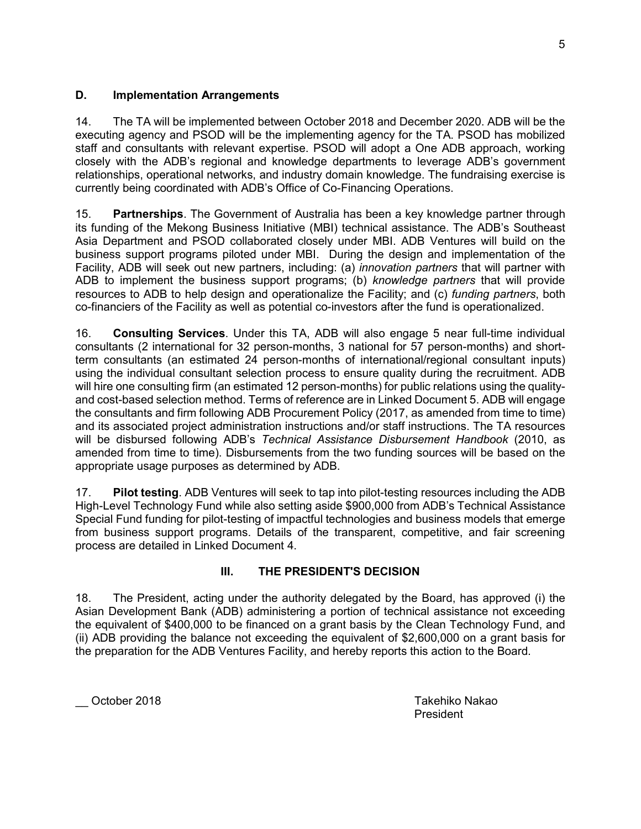### **D. Implementation Arrangements**

14. The TA will be implemented between October 2018 and December 2020. ADB will be the executing agency and PSOD will be the implementing agency for the TA. PSOD has mobilized staff and consultants with relevant expertise. PSOD will adopt a One ADB approach, working closely with the ADB's regional and knowledge departments to leverage ADB's government relationships, operational networks, and industry domain knowledge. The fundraising exercise is currently being coordinated with ADB's Office of Co-Financing Operations.

15. **Partnerships**. The Government of Australia has been a key knowledge partner through its funding of the Mekong Business Initiative (MBI) technical assistance. The ADB's Southeast Asia Department and PSOD collaborated closely under MBI. ADB Ventures will build on the business support programs piloted under MBI. During the design and implementation of the Facility, ADB will seek out new partners, including: (a) *innovation partners* that will partner with ADB to implement the business support programs; (b) *knowledge partners* that will provide resources to ADB to help design and operationalize the Facility; and (c) *funding partners*, both co-financiers of the Facility as well as potential co-investors after the fund is operationalized.

16. **Consulting Services**. Under this TA, ADB will also engage 5 near full-time individual consultants (2 international for 32 person-months, 3 national for 57 person-months) and shortterm consultants (an estimated 24 person-months of international/regional consultant inputs) using the individual consultant selection process to ensure quality during the recruitment. ADB will hire one consulting firm (an estimated 12 person-months) for public relations using the qualityand cost-based selection method. Terms of reference are in Linked Document 5. ADB will engage the consultants and firm following ADB Procurement Policy (2017, as amended from time to time) and its associated project administration instructions and/or staff instructions. The TA resources will be disbursed following ADB's *Technical Assistance Disbursement Handbook* (2010, as amended from time to time). Disbursements from the two funding sources will be based on the appropriate usage purposes as determined by ADB.

17. **Pilot testing**. ADB Ventures will seek to tap into pilot-testing resources including the ADB High-Level Technology Fund while also setting aside \$900,000 from ADB's Technical Assistance Special Fund funding for pilot-testing of impactful technologies and business models that emerge from business support programs. Details of the transparent, competitive, and fair screening process are detailed in Linked Document 4.

## **III.** THE PRESIDENT'S DECISION

18. The President, acting under the authority delegated by the Board, has approved (i) the Asian Development Bank (ADB) administering a portion of technical assistance not exceeding the equivalent of \$400,000 to be financed on a grant basis by the Clean Technology Fund, and (ii) ADB providing the balance not exceeding the equivalent of \$2,600,000 on a grant basis for the preparation for the ADB Ventures Facility, and hereby reports this action to the Board.

\_\_ October 2018 Takehiko Nakao

President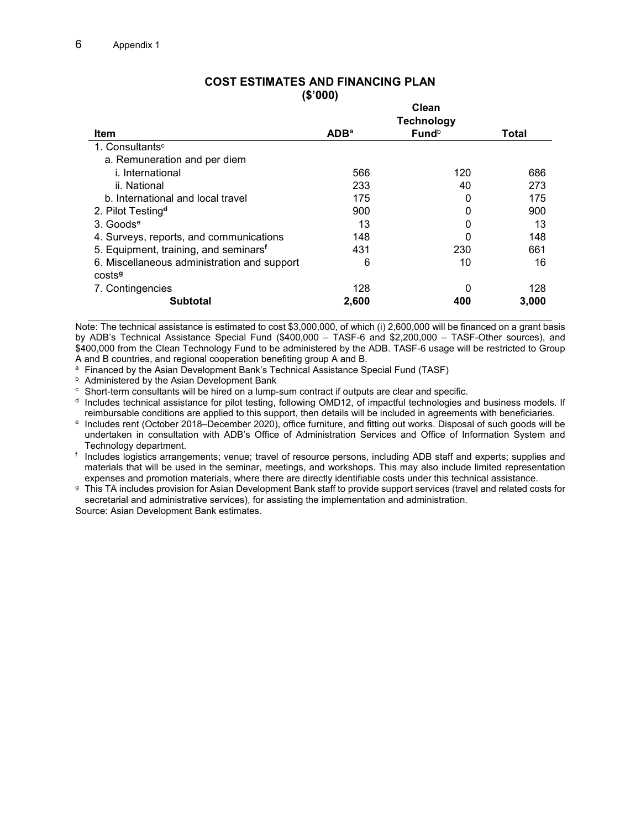|                                                   | Clean            |       |       |
|---------------------------------------------------|------------------|-------|-------|
|                                                   |                  |       |       |
| Item                                              | ADB <sup>a</sup> | Fundb | Total |
| 1. Consultants <sup>c</sup>                       |                  |       |       |
| a. Remuneration and per diem                      |                  |       |       |
| <i>i.</i> International                           | 566              | 120   | 686   |
| ii. National                                      | 233              | 40    | 273   |
| b. International and local travel                 | 175              | 0     | 175   |
| 2. Pilot Testing <sup>d</sup>                     | 900              | 0     | 900   |
| $3.$ Goods <sup>e</sup>                           | 13               | 0     | 13    |
| 4. Surveys, reports, and communications           | 148              | 0     | 148   |
| 5. Equipment, training, and seminars <sup>f</sup> | 431              | 230   | 661   |
| 6. Miscellaneous administration and support       | 6                | 10    | 16    |
| costs <sup>9</sup>                                |                  |       |       |
| 7. Contingencies                                  | 128              | 0     | 128   |
| <b>Subtotal</b>                                   | 2,600            | 400   | 3,000 |

#### **COST ESTIMATES AND FINANCING PLAN (\$'000)**

Note: The technical assistance is estimated to cost \$3,000,000, of which (i) 2,600,000 will be financed on a grant basis by ADB's Technical Assistance Special Fund (\$400,000 – TASF-6 and \$2,200,000 – TASF-Other sources), and \$400,000 from the Clean Technology Fund to be administered by the ADB. TASF-6 usage will be restricted to Group A and B countries, and regional cooperation benefiting group A and B.

<sup>a</sup> Financed by the Asian Development Bank's Technical Assistance Special Fund (TASF)

**b** Administered by the Asian Development Bank

 $\textdegree$  Short-term consultants will be hired on a lump-sum contract if outputs are clear and specific.

<sup>d</sup> Includes technical assistance for pilot testing, following OMD12, of impactful technologies and business models. If reimbursable conditions are applied to this support, then details will be included in agreements with beneficiaries.

e Includes rent (October 2018–December 2020), office furniture, and fitting out works. Disposal of such goods will be undertaken in consultation with ADB's Office of Administration Services and Office of Information System and Technology department.

f Includes logistics arrangements; venue; travel of resource persons, including ADB staff and experts; supplies and materials that will be used in the seminar, meetings, and workshops. This may also include limited representation expenses and promotion materials, where there are directly identifiable costs under this technical assistance.

g This TA includes provision for Asian Development Bank staff to provide support services (travel and related costs for secretarial and administrative services), for assisting the implementation and administration.

Source: Asian Development Bank estimates.